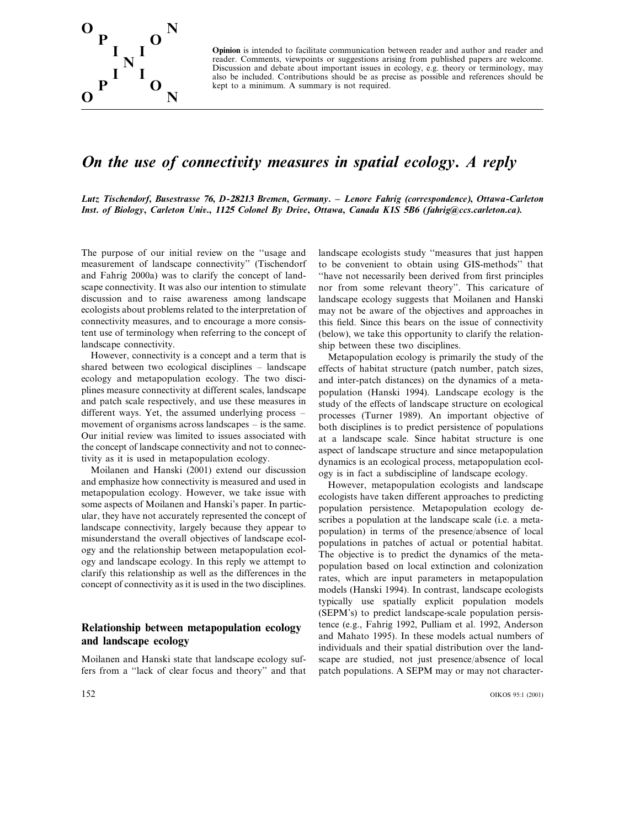

**Opinion** is intended to facilitate communication between reader and author and reader and reader. Comments, viewpoints or suggestions arising from published papers are welcome. Discussion and debate about important issues in ecology, e.g. theory or terminology, may also be included. Contributions should be as precise as possible and references should be kept to a minimum. A summary is not required.

## *On the use of connectiity measures in spatial ecology***.** *A reply*

Lutz Tischendorf, Busestrasse 76, D-28213 Bremen, Germany. - Lenore Fahrig (correspondence), Ottawa-Carleton Inst. of Biology, Carleton Univ., 1125 Colonel By Drive, Ottawa, Canada K1S 5B6 (fahrig@ccs.carleton.ca).

The purpose of our initial review on the ''usage and measurement of landscape connectivity'' (Tischendorf and Fahrig 2000a) was to clarify the concept of landscape connectivity. It was also our intention to stimulate discussion and to raise awareness among landscape ecologists about problems related to the interpretation of connectivity measures, and to encourage a more consistent use of terminology when referring to the concept of landscape connectivity.

However, connectivity is a concept and a term that is shared between two ecological disciplines – landscape ecology and metapopulation ecology. The two disciplines measure connectivity at different scales, landscape and patch scale respectively, and use these measures in different ways. Yet, the assumed underlying process – movement of organisms across landscapes – is the same. Our initial review was limited to issues associated with the concept of landscape connectivity and not to connectivity as it is used in metapopulation ecology.

Moilanen and Hanski (2001) extend our discussion and emphasize how connectivity is measured and used in metapopulation ecology. However, we take issue with some aspects of Moilanen and Hanski's paper. In particular, they have not accurately represented the concept of landscape connectivity, largely because they appear to misunderstand the overall objectives of landscape ecology and the relationship between metapopulation ecology and landscape ecology. In this reply we attempt to clarify this relationship as well as the differences in the concept of connectivity as it is used in the two disciplines.

## **Relationship between metapopulation ecology and landscape ecology**

Moilanen and Hanski state that landscape ecology suffers from a ''lack of clear focus and theory'' and that landscape ecologists study ''measures that just happen to be convenient to obtain using GIS-methods'' that ''have not necessarily been derived from first principles nor from some relevant theory''. This caricature of landscape ecology suggests that Moilanen and Hanski may not be aware of the objectives and approaches in this field. Since this bears on the issue of connectivity (below), we take this opportunity to clarify the relationship between these two disciplines.

Metapopulation ecology is primarily the study of the effects of habitat structure (patch number, patch sizes, and inter-patch distances) on the dynamics of a metapopulation (Hanski 1994). Landscape ecology is the study of the effects of landscape structure on ecological processes (Turner 1989). An important objective of both disciplines is to predict persistence of populations at a landscape scale. Since habitat structure is one aspect of landscape structure and since metapopulation dynamics is an ecological process, metapopulation ecology is in fact a subdiscipline of landscape ecology.

However, metapopulation ecologists and landscape ecologists have taken different approaches to predicting population persistence. Metapopulation ecology describes a population at the landscape scale (i.e. a metapopulation) in terms of the presence/absence of local populations in patches of actual or potential habitat. The objective is to predict the dynamics of the metapopulation based on local extinction and colonization rates, which are input parameters in metapopulation models (Hanski 1994). In contrast, landscape ecologists typically use spatially explicit population models (SEPM's) to predict landscape-scale population persistence (e.g., Fahrig 1992, Pulliam et al. 1992, Anderson and Mahato 1995). In these models actual numbers of individuals and their spatial distribution over the landscape are studied, not just presence/absence of local patch populations. A SEPM may or may not character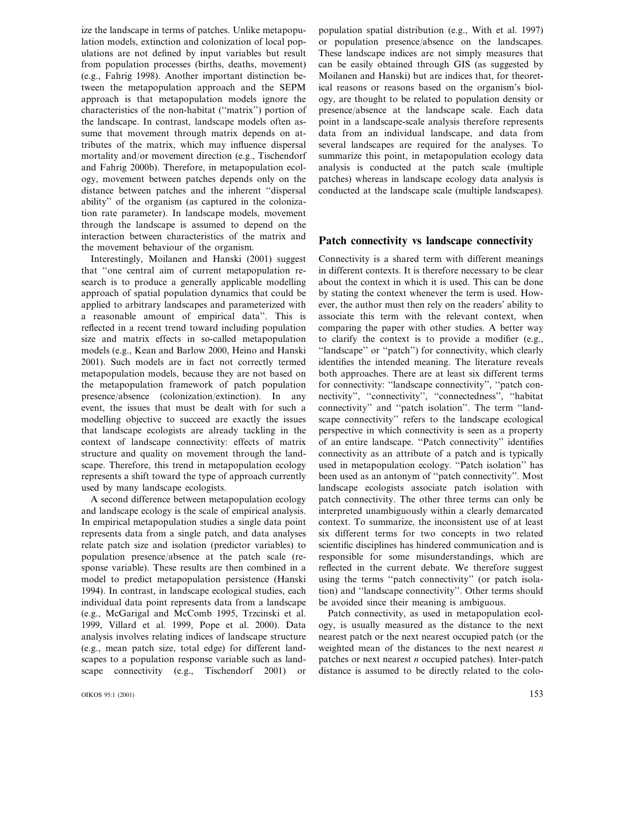ize the landscape in terms of patches. Unlike metapopulation models, extinction and colonization of local populations are not defined by input variables but result from population processes (births, deaths, movement) (e.g., Fahrig 1998). Another important distinction between the metapopulation approach and the SEPM approach is that metapopulation models ignore the characteristics of the non-habitat (''matrix'') portion of the landscape. In contrast, landscape models often assume that movement through matrix depends on attributes of the matrix, which may influence dispersal mortality and/or movement direction (e.g., Tischendorf and Fahrig 2000b). Therefore, in metapopulation ecology, movement between patches depends only on the distance between patches and the inherent ''dispersal ability'' of the organism (as captured in the colonization rate parameter). In landscape models, movement through the landscape is assumed to depend on the interaction between characteristics of the matrix and the movement behaviour of the organism.

Interestingly, Moilanen and Hanski (2001) suggest that ''one central aim of current metapopulation research is to produce a generally applicable modelling approach of spatial population dynamics that could be applied to arbitrary landscapes and parameterized with a reasonable amount of empirical data''. This is reflected in a recent trend toward including population size and matrix effects in so-called metapopulation models (e.g., Kean and Barlow 2000, Heino and Hanski 2001). Such models are in fact not correctly termed metapopulation models, because they are not based on the metapopulation framework of patch population presence/absence (colonization/extinction). In any event, the issues that must be dealt with for such a modelling objective to succeed are exactly the issues that landscape ecologists are already tackling in the context of landscape connectivity: effects of matrix structure and quality on movement through the landscape. Therefore, this trend in metapopulation ecology represents a shift toward the type of approach currently used by many landscape ecologists.

A second difference between metapopulation ecology and landscape ecology is the scale of empirical analysis. In empirical metapopulation studies a single data point represents data from a single patch, and data analyses relate patch size and isolation (predictor variables) to population presence/absence at the patch scale (response variable). These results are then combined in a model to predict metapopulation persistence (Hanski 1994). In contrast, in landscape ecological studies, each individual data point represents data from a landscape (e.g., McGarigal and McComb 1995, Trzcinski et al. 1999, Villard et al. 1999, Pope et al. 2000). Data analysis involves relating indices of landscape structure (e.g., mean patch size, total edge) for different landscapes to a population response variable such as landscape connectivity (e.g., Tischendorf 2001) or

population spatial distribution (e.g., With et al. 1997) or population presence/absence on the landscapes. These landscape indices are not simply measures that can be easily obtained through GIS (as suggested by Moilanen and Hanski) but are indices that, for theoretical reasons or reasons based on the organism's biology, are thought to be related to population density or presence/absence at the landscape scale. Each data point in a landscape-scale analysis therefore represents data from an individual landscape, and data from several landscapes are required for the analyses. To summarize this point, in metapopulation ecology data analysis is conducted at the patch scale (multiple patches) whereas in landscape ecology data analysis is conducted at the landscape scale (multiple landscapes).

## **Patch connectivity vs landscape connectivity**

Connectivity is a shared term with different meanings in different contexts. It is therefore necessary to be clear about the context in which it is used. This can be done by stating the context whenever the term is used. However, the author must then rely on the readers' ability to associate this term with the relevant context, when comparing the paper with other studies. A better way to clarify the context is to provide a modifier (e.g., ''landscape'' or ''patch'') for connectivity, which clearly identifies the intended meaning. The literature reveals both approaches. There are at least six different terms for connectivity: ''landscape connectivity'', ''patch connectivity'', ''connectivity'', ''connectedness'', ''habitat connectivity'' and ''patch isolation''. The term ''landscape connectivity'' refers to the landscape ecological perspective in which connectivity is seen as a property of an entire landscape. ''Patch connectivity'' identifies connectivity as an attribute of a patch and is typically used in metapopulation ecology. ''Patch isolation'' has been used as an antonym of ''patch connectivity''. Most landscape ecologists associate patch isolation with patch connectivity. The other three terms can only be interpreted unambiguously within a clearly demarcated context. To summarize, the inconsistent use of at least six different terms for two concepts in two related scientific disciplines has hindered communication and is responsible for some misunderstandings, which are reflected in the current debate. We therefore suggest using the terms ''patch connectivity'' (or patch isolation) and ''landscape connectivity''. Other terms should be avoided since their meaning is ambiguous.

Patch connectivity, as used in metapopulation ecology, is usually measured as the distance to the next nearest patch or the next nearest occupied patch (or the weighted mean of the distances to the next nearest *n* patches or next nearest *n* occupied patches). Inter-patch distance is assumed to be directly related to the colo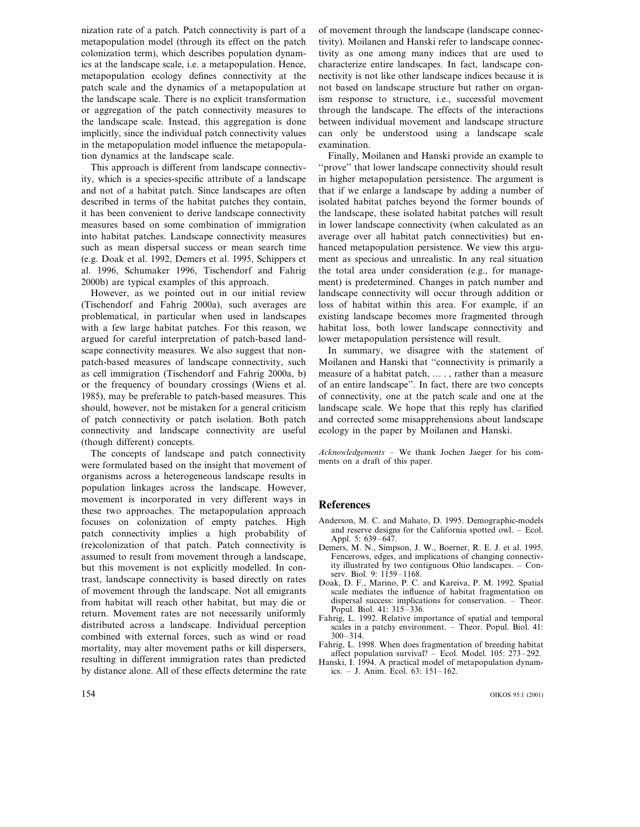nization rate of a patch. Patch connectivity is part of a metapopulation model (through its effect on the patch colonization term), which describes population dynamics at the landscape scale, i.e. a metapopulation. Hence, metapopulation ecology defines connectivity at the patch scale and the dynamics of a metapopulation at the landscape scale. There is no explicit transformation or aggregation of the patch connectivity measures to the landscape scale. Instead, this aggregation is done implicitly, since the individual patch connectivity values in the metapopulation model influence the metapopulation dynamics at the landscape scale.

This approach is different from landscape connectivity, which is a species-specific attribute of a landscape and not of a habitat patch. Since landscapes are often described in terms of the habitat patches they contain, it has been convenient to derive landscape connectivity measures based on some combination of immigration into habitat patches. Landscape connectivity measures such as mean dispersal success or mean search time (e.g. Doak et al. 1992, Demers et al. 1995, Schippers et al. 1996, Schumaker 1996, Tischendorf and Fahrig 2000b) are typical examples of this approach.

However, as we pointed out in our initial review (Tischendorf and Fahrig 2000a), such averages are problematical, in particular when used in landscapes with a few large habitat patches. For this reason, we argued for careful interpretation of patch-based landscape connectivity measures. We also suggest that nonpatch-based measures of landscape connectivity, such as cell immigration (Tischendorf and Fahrig 2000a, b) or the frequency of boundary crossings (Wiens et al. 1985), may be preferable to patch-based measures. This should, however, not be mistaken for a general criticism of patch connectivity or patch isolation. Both patch connectivity and landscape connectivity are useful (though different) concepts.

The concepts of landscape and patch connectivity were formulated based on the insight that movement of organisms across a heterogeneous landscape results in population linkages across the landscape. However, movement is incorporated in very different ways in these two approaches. The metapopulation approach focuses on colonization of empty patches. High patch connectivity implies a high probability of (re)colonization of that patch. Patch connectivity is assumed to result from movement through a landscape, but this movement is not explicitly modelled. In contrast, landscape connectivity is based directly on rates of movement through the landscape. Not all emigrants from habitat will reach other habitat, but may die or return. Movement rates are not necessarily uniformly distributed across a landscape. Individual perception combined with external forces, such as wind or road mortality, may alter movement paths or kill dispersers, resulting in different immigration rates than predicted by distance alone. All of these effects determine the rate

of movement through the landscape (landscape connectivity). Moilanen and Hanski refer to landscape connectivity as one among many indices that are used to characterize entire landscapes. In fact, landscape connectivity is not like other landscape indices because it is not based on landscape structure but rather on organism response to structure, i.e., successful movement through the landscape. The effects of the interactions between individual movement and landscape structure can only be understood using a landscape scale examination.

Finally, Moilanen and Hanski provide an example to ''prove'' that lower landscape connectivity should result in higher metapopulation persistence. The argument is that if we enlarge a landscape by adding a number of isolated habitat patches beyond the former bounds of the landscape, these isolated habitat patches will result in lower landscape connectivity (when calculated as an average over all habitat patch connectivities) but enhanced metapopulation persistence. We view this argument as specious and unrealistic. In any real situation the total area under consideration (e.g., for management) is predetermined. Changes in patch number and landscape connectivity will occur through addition or loss of habitat within this area. For example, if an existing landscape becomes more fragmented through habitat loss, both lower landscape connectivity and lower metapopulation persistence will result.

In summary, we disagree with the statement of Moilanen and Hanski that ''connectivity is primarily a measure of a habitat patch, … . , rather than a measure of an entire landscape''. In fact, there are two concepts of connectivity, one at the patch scale and one at the landscape scale. We hope that this reply has clarified and corrected some misapprehensions about landscape ecology in the paper by Moilanen and Hanski.

*Acknowledgements* – We thank Jochen Jaeger for his comments on a draft of this paper.

## **References**

- Anderson, M. C. and Mahato, D. 1995. Demographic-models and reserve designs for the California spotted owl. – Ecol. Appl. 5: 639-647.
- Demers, M. N., Simpson, J. W., Boerner, R. E. J. et al. 1995. Fencerows, edges, and implications of changing connectivity illustrated by two contiguous Ohio landscapes. – Conserv. Biol. 9: 1159–1168.
- Doak, D. F., Marino, P. C. and Kareiva, P. M. 1992. Spatial scale mediates the influence of habitat fragmentation on dispersal success: implications for conservation. – Theor. Popul. Biol. 41: 315–336.
- Fahrig, L. 1992. Relative importance of spatial and temporal scales in a patchy environment. – Theor. Popul. Biol. 41: 300–314.
- Fahrig, L. 1998. When does fragmentation of breeding habitat affect population survival? – Ecol. Model.  $105: 273-292$ .
- Hanski, I. 1994. A practical model of metapopulation dynamics. – J. Anim. Ecol. 63: 151–162.